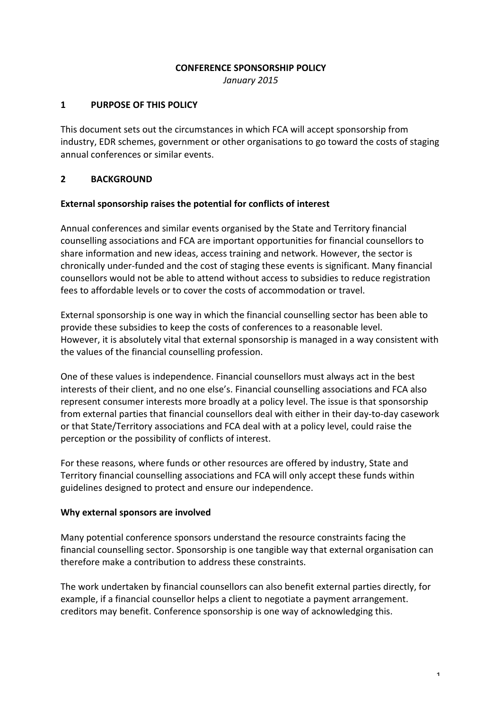### **CONFERENCE SPONSORSHIP POLICY**

*January 2015*

# **1** PURPOSE OF THIS POLICY

This document sets out the circumstances in which FCA will accept sponsorship from industry, EDR schemes, government or other organisations to go toward the costs of staging annual conferences or similar events.

# **2 BACKGROUND**

## **External sponsorship raises the potential for conflicts of interest**

Annual conferences and similar events organised by the State and Territory financial counselling associations and FCA are important opportunities for financial counsellors to share information and new ideas, access training and network. However, the sector is chronically under-funded and the cost of staging these events is significant. Many financial counsellors would not be able to attend without access to subsidies to reduce registration fees to affordable levels or to cover the costs of accommodation or travel.

External sponsorship is one way in which the financial counselling sector has been able to provide these subsidies to keep the costs of conferences to a reasonable level. However, it is absolutely vital that external sponsorship is managed in a way consistent with the values of the financial counselling profession.

One of these values is independence. Financial counsellors must always act in the best interests of their client, and no one else's. Financial counselling associations and FCA also represent consumer interests more broadly at a policy level. The issue is that sponsorship from external parties that financial counsellors deal with either in their day-to-day casework or that State/Territory associations and FCA deal with at a policy level, could raise the perception or the possibility of conflicts of interest.

For these reasons, where funds or other resources are offered by industry, State and Territory financial counselling associations and FCA will only accept these funds within guidelines designed to protect and ensure our independence.

### **Why external sponsors are involved**

Many potential conference sponsors understand the resource constraints facing the financial counselling sector. Sponsorship is one tangible way that external organisation can therefore make a contribution to address these constraints.

The work undertaken by financial counsellors can also benefit external parties directly, for example, if a financial counsellor helps a client to negotiate a payment arrangement. creditors may benefit. Conference sponsorship is one way of acknowledging this.